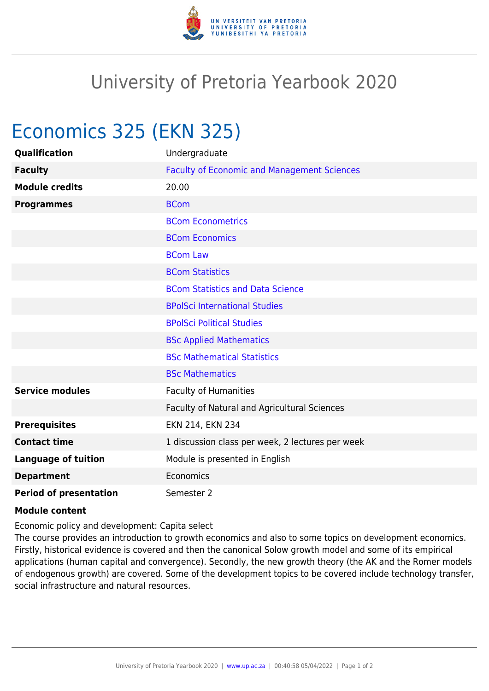

## University of Pretoria Yearbook 2020

## Economics 325 (EKN 325)

| <b>Qualification</b>          | Undergraduate                                      |
|-------------------------------|----------------------------------------------------|
| <b>Faculty</b>                | <b>Faculty of Economic and Management Sciences</b> |
| <b>Module credits</b>         | 20.00                                              |
| <b>Programmes</b>             | <b>BCom</b>                                        |
|                               | <b>BCom Econometrics</b>                           |
|                               | <b>BCom Economics</b>                              |
|                               | <b>BCom Law</b>                                    |
|                               | <b>BCom Statistics</b>                             |
|                               | <b>BCom Statistics and Data Science</b>            |
|                               | <b>BPolSci International Studies</b>               |
|                               | <b>BPolSci Political Studies</b>                   |
|                               | <b>BSc Applied Mathematics</b>                     |
|                               | <b>BSc Mathematical Statistics</b>                 |
|                               | <b>BSc Mathematics</b>                             |
| <b>Service modules</b>        | <b>Faculty of Humanities</b>                       |
|                               | Faculty of Natural and Agricultural Sciences       |
| <b>Prerequisites</b>          | EKN 214, EKN 234                                   |
| <b>Contact time</b>           | 1 discussion class per week, 2 lectures per week   |
| <b>Language of tuition</b>    | Module is presented in English                     |
| <b>Department</b>             | Economics                                          |
| <b>Period of presentation</b> | Semester 2                                         |

## **Module content**

Economic policy and development: Capita select

The course provides an introduction to growth economics and also to some topics on development economics. Firstly, historical evidence is covered and then the canonical Solow growth model and some of its empirical applications (human capital and convergence). Secondly, the new growth theory (the AK and the Romer models of endogenous growth) are covered. Some of the development topics to be covered include technology transfer, social infrastructure and natural resources.